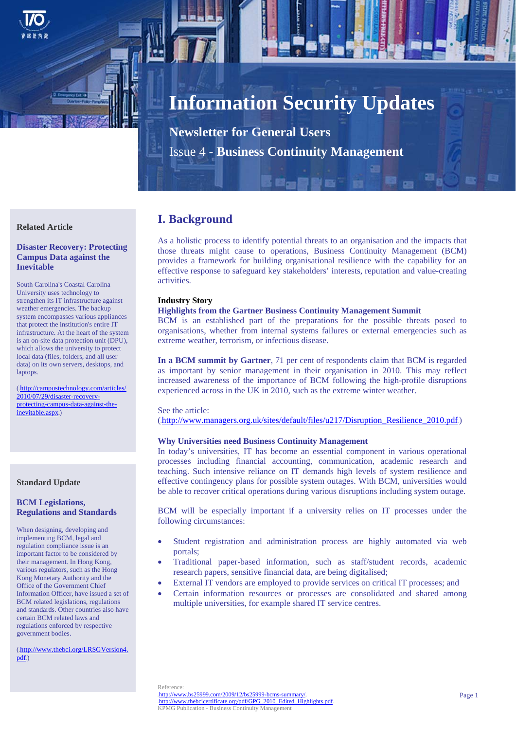

# **Information Security Updates**

**Newsletter for General Users**  Issue 4 **- Business Continuity Management**

#### **Related Article**

# **Disaster Recovery: Protecting Campus Data against the Inevitable**

South Carolina's Coastal Carolina University uses technology to strengthen its IT infrastructure against weather emergencies. The backup system encompasses various appliances that protect the institution's entire IT infrastructure. At the heart of the system is an on-site data protection unit (DPU), which allows the university to protect local data (files, folders, and all user data) on its own servers, desktops, and laptops.

(.http://campustechnology.com/articles/ 2010/07/29/disaster-recoveryprotecting-campus-data-against-theinevitable.aspx.)

#### **Standard Update**

# **BCM Legislations, Regulations and Standards**

When designing, developing and implementing BCM, legal and regulation compliance issue is an important factor to be considered by their management. In Hong Kong, various regulators, such as the Hong Kong Monetary Authority and the Office of the Government Chief Information Officer, have issued a set of BCM related legislations, regulations and standards. Other countries also have certain BCM related laws and regulations enforced by respective government bodies.

(.http://www.thebci.org/LRSGVersion4.  $pdf()$ 

# **I. Background**

As a holistic process to identify potential threats to an organisation and the impacts that those threats might cause to operations, Business Continuity Management (BCM) provides a framework for building organisational resilience with the capability for an effective response to safeguard key stakeholders' interests, reputation and value-creating activities.

# **Industry Story**

# **Highlights from the Gartner Business Continuity Management Summit**

BCM is an established part of the preparations for the possible threats posed to organisations, whether from internal systems failures or external emergencies such as extreme weather, terrorism, or infectious disease.

**In a BCM summit by Gartner**, 71 per cent of respondents claim that BCM is regarded as important by senior management in their organisation in 2010. This may reflect increased awareness of the importance of BCM following the high-profile disruptions experienced across in the UK in 2010, such as the extreme winter weather.

#### See the article:

(http://www.managers.org.uk/sites/default/files/u217/Disruption\_Resilience\_2010.pdf.)

## **Why Universities need Business Continuity Management**

In today's universities, IT has become an essential component in various operational processes including financial accounting, communication, academic research and teaching. Such intensive reliance on IT demands high levels of system resilience and effective contingency plans for possible system outages. With BCM, universities would be able to recover critical operations during various disruptions including system outage.

BCM will be especially important if a university relies on IT processes under the following circumstances:

- Student registration and administration process are highly automated via web portals;
- Traditional paper-based information, such as staff/student records, academic research papers, sensitive financial data, are being digitalised;
- External IT vendors are employed to provide services on critical IT processes; and
- Certain information resources or processes are consolidated and shared among multiple universities, for example shared IT service centres.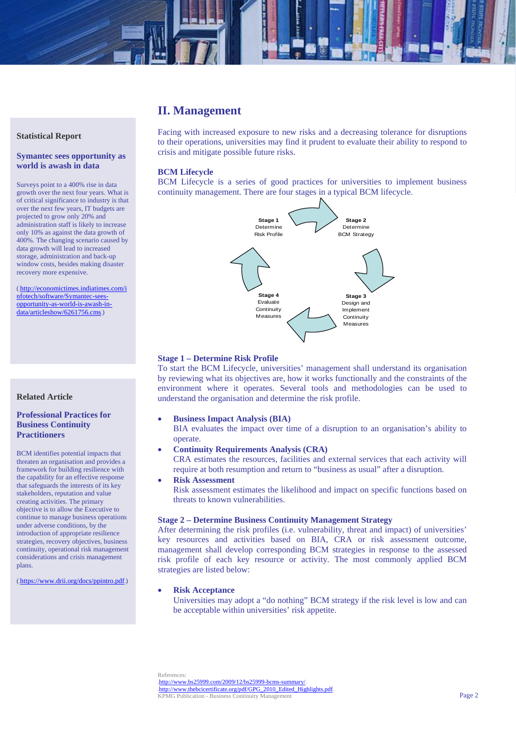# **II. Management**

#### **Statistical Report**

#### **Symantec sees opportunity as world is awash in data**

Surveys point to a 400% rise in data growth over the next four years. What is of critical significance to industry is that over the next few years, IT budgets are projected to grow only 20% and administration staff is likely to increase only 10% as against the data growth of 400%. The changing scenario caused by data growth will lead to increased storage, administration and back-up window costs, besides making disaster recovery more expensive.

(.http://economictimes.indiatimes.com/i nfotech/software/Symantec-seesopportunity-as-world-is-awash-indata/articleshow/6261756.cms.)

# **Related Article**

### **Professional Practices for Business Continuity Practitioners**

BCM identifies potential impacts that threaten an organisation and provides a framework for building resilience with the capability for an effective response that safeguards the interests of its key stakeholders, reputation and value creating activities. The primary objective is to allow the Executive to continue to manage business operations under adverse conditions, by the introduction of appropriate resilience strategies, recovery objectives, business continuity, operational risk management considerations and crisis management plans.

(.https://www.drii.org/docs/ppintro.pdf.)

Facing with increased exposure to new risks and a decreasing tolerance for disruptions to their operations, universities may find it prudent to evaluate their ability to respond to crisis and mitigate possible future risks.

#### **BCM Lifecycle**

BCM Lifecycle is a series of good practices for universities to implement business continuity management. There are four stages in a typical BCM lifecycle.



#### **Stage 1 – Determine Risk Profile**

To start the BCM Lifecycle, universities' management shall understand its organisation by reviewing what its objectives are, how it works functionally and the constraints of the environment where it operates. Several tools and methodologies can be used to understand the organisation and determine the risk profile.

**Business Impact Analysis (BIA)** 

BIA evaluates the impact over time of a disruption to an organisation's ability to operate.

- **Continuity Requirements Analysis (CRA)**  CRA estimates the resources, facilities and external services that each activity will
	- require at both resumption and return to "business as usual" after a disruption.
- **Risk Assessment**

Risk assessment estimates the likelihood and impact on specific functions based on threats to known vulnerabilities.

#### **Stage 2 – Determine Business Continuity Management Strategy**

After determining the risk profiles (i.e. vulnerability, threat and impact) of universities' key resources and activities based on BIA, CRA or risk assessment outcome, management shall develop corresponding BCM strategies in response to the assessed risk profile of each key resource or activity. The most commonly applied BCM strategies are listed below:

#### **Risk Acceptance**

Universities may adopt a "do nothing" BCM strategy if the risk level is low and can be acceptable within universities' risk appetite.

References:

 $\text{http://www.bs25999.com/2009/12/bs25999-bcms-summar}$ http://www.thebcicertificate.org/pdf/GPG\_2010\_Edited\_Highlights.pdf. KPMG Publication - Business Continuity Management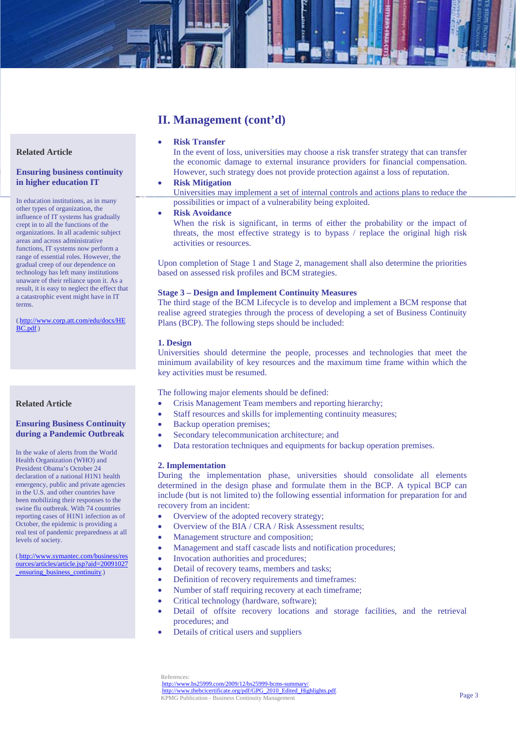# **Related Article**

#### **Ensuring business continuity in higher education IT**

In education institutions, as in many other types of organization, the influence of IT systems has gradually crept in to all the functions of the organizations. In all academic subject areas and across administrative functions, IT systems now perform a range of essential roles. However, the gradual creep of our dependence on technology has left many institutions unaware of their reliance upon it. As a result, it is easy to neglect the effect that a catastrophic event might have in IT terms.

(.http://www.corp.att.com/edu/docs/HE  $BC.pdf$ )

#### **Related Article**

# **Ensuring Business Continuity during a Pandemic Outbreak**

In the wake of alerts from the World Health Organization (WHO) and President Obama's October 24 declaration of a national H1N1 health emergency, public and private agencies in the U.S. and other countries have been mobilizing their responses to the swine flu outbreak. With 74 countries reporting cases of H1N1 infection as of October, the epidemic is providing a real test of pandemic preparedness at all levels of society.

(.http://www.symantec.com/business/res ources/articles/article.jsp?aid=20091027 \_ensuring\_business\_continuity.)

# **II. Management (cont'd)**

# **Risk Transfer**

In the event of loss, universities may choose a risk transfer strategy that can transfer the economic damage to external insurance providers for financial compensation. However, such strategy does not provide protection against a loss of reputation.

#### **Risk Mitigation**

Universities may implement a set of internal controls and actions plans to reduce the possibilities or impact of a vulnerability being exploited.

## **Risk Avoidance**

When the risk is significant, in terms of either the probability or the impact of threats, the most effective strategy is to bypass / replace the original high risk activities or resources.

Upon completion of Stage 1 and Stage 2, management shall also determine the priorities based on assessed risk profiles and BCM strategies.

#### **Stage 3 – Design and Implement Continuity Measures**

The third stage of the BCM Lifecycle is to develop and implement a BCM response that realise agreed strategies through the process of developing a set of Business Continuity Plans (BCP). The following steps should be included:

#### **1. Design**

Universities should determine the people, processes and technologies that meet the minimum availability of key resources and the maximum time frame within which the key activities must be resumed.

The following major elements should be defined:

- Crisis Management Team members and reporting hierarchy;
- Staff resources and skills for implementing continuity measures;
- Backup operation premises;
- Secondary telecommunication architecture; and
- Data restoration techniques and equipments for backup operation premises.

#### **2. Implementation**

During the implementation phase, universities should consolidate all elements determined in the design phase and formulate them in the BCP. A typical BCP can include (but is not limited to) the following essential information for preparation for and recovery from an incident:

- Overview of the adopted recovery strategy;
- Overview of the BIA / CRA / Risk Assessment results:
- Management structure and composition;
- Management and staff cascade lists and notification procedures;
- Invocation authorities and procedures;
- Detail of recovery teams, members and tasks;
- Definition of recovery requirements and timeframes:
- Number of staff requiring recovery at each timeframe;
- Critical technology (hardware, software);
- Detail of offsite recovery locations and storage facilities, and the retrieval procedures; and
- Details of critical users and suppliers

References:

http://www.bs25999.com/2009/12/bs25999-bcms-summary/ //www.thebcicertificate.org/pdf/GPG\_2010\_Edited\_Highlights.pdf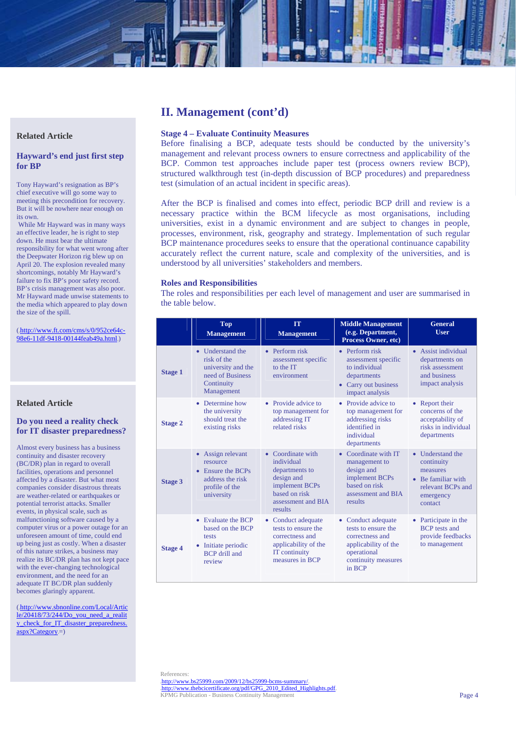# **Related Article**

# **Hayward's end just first step for BP**

Tony Hayward's resignation as BP's chief executive will go some way to meeting this precondition for recovery. But it will be nowhere near enough on its own.

 While Mr Hayward was in many ways an effective leader, he is right to step down. He must bear the ultimate responsibility for what went wrong after the Deepwater Horizon rig blew up on April 20. The explosion revealed many shortcomings, notably Mr Hayward's failure to fix BP's poor safety record. BP's crisis management was also poor. Mr Hayward made unwise statements to the media which appeared to play down the size of the spill.

 $(\underline{http://www.ft.com/cms/s/0/952ce64c-})$ 98e6-11df-9418-00144feab49a.html

# **Related Article**

# **Do you need a reality check for IT disaster preparedness?**

Almost every business has a business continuity and disaster recovery (BC/DR) plan in regard to overall facilities, operations and personnel affected by a disaster. But what most companies consider disastrous threats are weather-related or earthquakes or potential terrorist attacks. Smaller events, in physical scale, such as malfunctioning software caused by a computer virus or a power outage for an unforeseen amount of time, could end up being just as costly. When a disaster of this nature strikes, a business may realize its BC/DR plan has not kept pace with the ever-changing technological environment, and the need for an adequate IT BC/DR plan suddenly becomes glaringly apparent.

(.http://www.sbnonline.com/Local/Artic  $le/20418/73/244/Do$  you need a realit y\_check\_for\_IT\_disaster\_preparedness.  $\overline{\text{aspx?Category}}$ =)

# **II. Management (cont'd)**

#### **Stage 4 – Evaluate Continuity Measures**

Before finalising a BCP, adequate tests should be conducted by the university's management and relevant process owners to ensure correctness and applicability of the BCP. Common test approaches include paper test (process owners review BCP), structured walkthrough test (in-depth discussion of BCP procedures) and preparedness test (simulation of an actual incident in specific areas).

After the BCP is finalised and comes into effect, periodic BCP drill and review is a necessary practice within the BCM lifecycle as most organisations, including universities, exist in a dynamic environment and are subject to changes in people, processes, environment, risk, geography and strategy. Implementation of such regular BCP maintenance procedures seeks to ensure that the operational continuance capability accurately reflect the current nature, scale and complexity of the universities, and is understood by all universities' stakeholders and members.

#### **Roles and Responsibilities**

The roles and responsibilities per each level of management and user are summarised in the table below.

|                | <b>Top</b><br><b>Management</b>                                                                                | <b>IT</b><br><b>Management</b>                                                                                                      | <b>Middle Management</b><br>(e.g. Department,<br><b>Process Owner, etc)</b>                                                          | <b>General</b><br><b>User</b>                                                                                 |
|----------------|----------------------------------------------------------------------------------------------------------------|-------------------------------------------------------------------------------------------------------------------------------------|--------------------------------------------------------------------------------------------------------------------------------------|---------------------------------------------------------------------------------------------------------------|
| <b>Stage 1</b> | • Understand the<br>risk of the<br>university and the<br>need of Business<br>Continuity<br>Management          | $\bullet$ Perform risk<br>assessment specific<br>to the IT<br>environment                                                           | $\bullet$ Perform risk<br>assessment specific<br>to individual<br>departments<br>• Carry out business<br>impact analysis             | • Assist individual<br>departments on<br>risk assessment<br>and business<br>impact analysis                   |
| <b>Stage 2</b> | • Determine how<br>the university<br>should treat the<br>existing risks                                        | • Provide advice to<br>top management for<br>addressing IT<br>related risks                                                         | • Provide advice to<br>top management for<br>addressing risks<br>identified in<br>individual<br>departments                          | • Report their<br>concerns of the<br>acceptability of<br>risks in individual<br>departments                   |
| <b>Stage 3</b> | • Assign relevant<br>resource<br>• Ensure the BCPs<br>address the risk<br>profile of the<br>university         | • Coordinate with<br>individual<br>departments to<br>design and<br>implement BCPs<br>based on risk<br>assessment and BIA<br>results | • Coordinate with IT<br>management to<br>design and<br>implement BCPs<br>based on risk<br>assessment and BIA<br>results              | • Understand the<br>continuity<br>measures<br>• Be familiar with<br>relevant BCPs and<br>emergency<br>contact |
| <b>Stage 4</b> | $\bullet$ Evaluate the BCP<br>based on the BCP<br>tests<br>Initiate periodic<br><b>BCP</b> drill and<br>review | • Conduct adequate<br>tests to ensure the<br>correctness and<br>applicability of the<br>IT continuity<br>measures in BCP            | • Conduct adequate<br>tests to ensure the<br>correctness and<br>applicability of the<br>operational<br>continuity measures<br>in BCP | Participate in the<br>٠<br><b>BCP</b> tests and<br>provide feedbacks<br>to management                         |

References: http://www.bs25999.com/2009/12/bs25999-bcms-summary/ http://www.thebcicertificate.org/pdf/GPG\_2010\_Edited\_Highlights.pdf KPMG Publication - Business Continuity Management